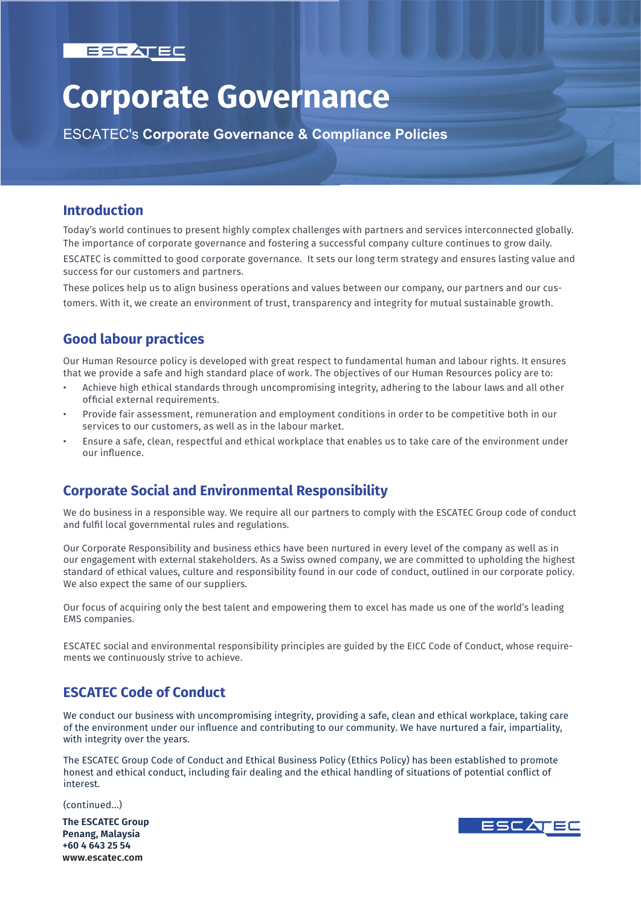

# **Corporate Governance**

ESCATEC's **Corporate Governance & Compliance Policies**

#### **Introduction**

Today's world continues to present highly complex challenges with partners and services interconnected globally. The importance of corporate governance and fostering a successful company culture continues to grow daily. ESCATEC is committed to good corporate governance. It sets our long term strategy and ensures lasting value and success for our customers and partners.

These polices help us to align business operations and values between our company, our partners and our customers. With it, we create an environment of trust, transparency and integrity for mutual sustainable growth.

# **Good labour practices**

Our Human Resource policy is developed with great respect to fundamental human and labour rights. It ensures that we provide a safe and high standard place of work. The objectives of our Human Resources policy are to:

- Achieve high ethical standards through uncompromising integrity, adhering to the labour laws and all other official external requirements.
- Provide fair assessment, remuneration and employment conditions in order to be competitive both in our services to our customers, as well as in the labour market.
- Ensure a safe, clean, respectful and ethical workplace that enables us to take care of the environment under our influence.

# **Corporate Social and Environmental Responsibility**

We do business in a responsible way. We require all our partners to comply with the ESCATEC Group code of conduct and fulfil local governmental rules and regulations.

Our Corporate Responsibility and business ethics have been nurtured in every level of the company as well as in our engagement with external stakeholders. As a Swiss owned company, we are committed to upholding the highest standard of ethical values, culture and responsibility found in our code of conduct, outlined in our corporate policy. We also expect the same of our suppliers.

Our focus of acquiring only the best talent and empowering them to excel has made us one of the world's leading EMS companies.

ESCATEC social and environmental responsibility principles are guided by the EICC Code of Conduct, whose requirements we continuously strive to achieve.

# **ESCATEC Code of Conduct**

We conduct our business with uncompromising integrity, providing a safe, clean and ethical workplace, taking care of the environment under our influence and contributing to our community. We have nurtured a fair, impartiality, with integrity over the years.

The ESCATEC Group Code of Conduct and Ethical Business Policy (Ethics Policy) has been established to promote honest and ethical conduct, including fair dealing and the ethical handling of situations of potential conflict of interest.

(continued...)

**The ESCATEC Group Penang, Malaysia +60 4 643 25 54 www.escatec.com**